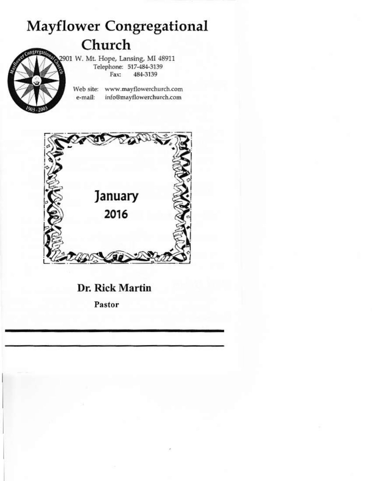## **Mayflower Congregational** Church

2901 W. Mt. Hope, Lansing, MI 48911 Telephone: 517-484-3139 484-3139 Fax:

> Web site: www.mayflowerchurch.com info@mayflowerchurch.com e-mail:



Dr. Rick Martin

Pastor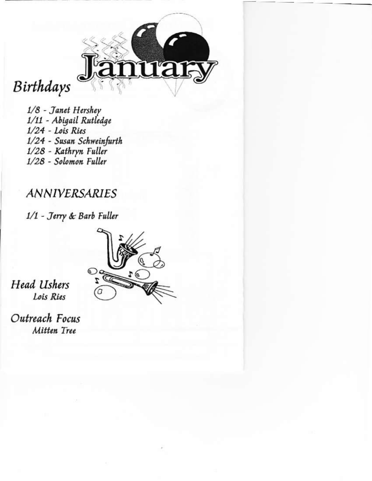

# Birthdays

1/8 - Janet Hershey 1/11 - Abigail Rutledge  $1/24$  - Lois Ries 1/24 - Susan Schweinfurth 1/28 - Kathryn Fuller 1/28 - Solomon Fuller

### **ANNIVERSARIES**

1/1 - Jerry & Barb Fuller



**Head Ushers** Lois Ries

Outreach Focus Mitten Tree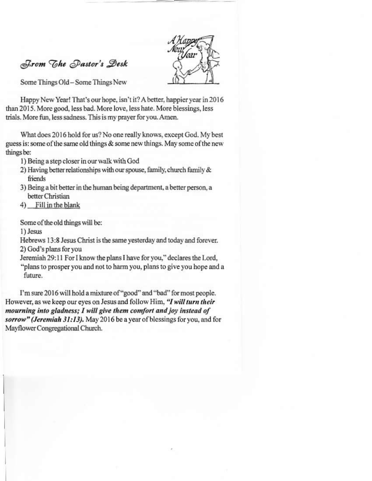

From The Pastor's Desk

Some Things Old - Some Things New

Happy New Year! That's our hope, isn't it? A better, happier year in 2016 than 2015. More good, less bad, More love, less hate. More blessings, less trials. More fun, less sadness. This is my prayer for you. Amen.

What does 2016 hold for us? No one really knows, except God. My best guess is: some of the same old things & some new things. May some of the new things be:

1) Being a step closer in our walk with God

- 2) Having better relationships with our spouse, family, church family & friends
- 3) Being a bit better in the human being department, a better person, a better Christian
- 4) Fill in the blank

Some of the old things will be:

1) Jesus

Hebrews 13:8 Jesus Christ is the same vesterday and today and forever. 2) God's plans for you

Jeremiah 29:11 For I know the plans I have for you," declares the Lord, "plans to prosper you and not to harm you, plans to give you hope and a future.

I'm sure 2016 will hold a mixture of "good" and "bad" for most people. However, as we keep our eyes on Jesus and follow Him, "I will turn their mourning into gladness; I will give them comfort and joy instead of sorrow" (Jeremiah 31:13). May 2016 be a year of blessings for you, and for Mayflower Congregational Church.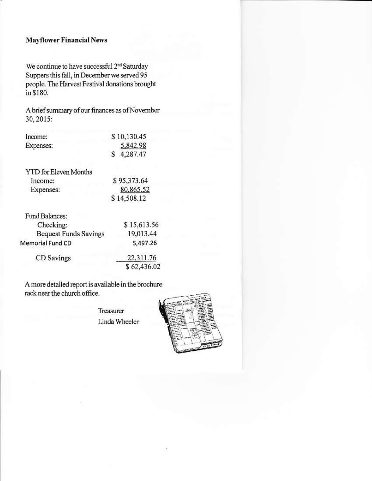#### **Mayflower Financial News**

We continue to have successful 2<sup>nd</sup> Saturday Suppers this fall, in December we served 95 people. The Harvest Festival donations brought in \$180.

A brief summary of our finances as of November 30, 2015:

| Income:   | \$10,130.45 |
|-----------|-------------|
| Expenses: | 5,842.98    |
|           | \$4,287.47  |

**YTD** for Eleven Months Income: Expenses:

\$95,373.64 80.865.52 \$14,508.12

| Fund Balances:               |             |
|------------------------------|-------------|
| Checking:                    | \$15,613.56 |
| <b>Bequest Funds Savings</b> | 19,013.44   |
| Memorial Fund CD             | 5,497.26    |
| CD Savings                   | 22,311.76   |
|                              | \$62,436.02 |

A more detailed report is available in the brochure rack near the church office.

> Treasurer Linda Wheeler

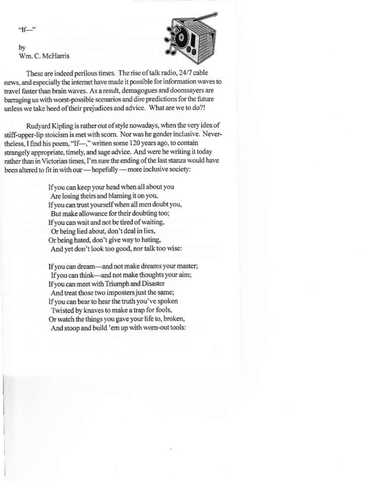$9f$ 

by Wm. C. McHarris



These are indeed perilous times. The rise of talk radio, 24/7 cable news, and especially the internet have made it possible for information waves to travel faster than brain waves. As a result, demagogues and doomsayers are barraging us with worst-possible scenarios and dire predictions for the future unless we take heed of their prejudices and advice. What are we to do?!

Rudyard Kipling is rather out of style nowadays, when the very idea of stiff-upper-lip stoicism is met with scorn. Nor was he gender inclusive. Nevertheless, I find his poem, "If-," written some 120 years ago, to contain strangely appropriate, timely, and sage advice. And were he writing it today rather than in Victorian times. I'm sure the ending of the last stanza would have been altered to fit in with our - hopefully - more inclusive society:

> If you can keep your head when all about you Are losing theirs and blaming it on you, If you can trust yourself when all men doubt you, But make allowance for their doubting too: If you can wait and not be tired of waiting, Or being lied about, don't deal in lies, Or being hated, don't give way to hating, And yet don't look too good, nor talk too wise:

If you can dream-and not make dreams your master; If you can think—and not make thoughts your aim: If you can meet with Triumph and Disaster And treat those two imposters just the same; If you can bear to hear the truth you've spoken Twisted by knaves to make a trap for fools, Or watch the things you gave your life to, broken, And stoop and build 'em up with worn-out tools: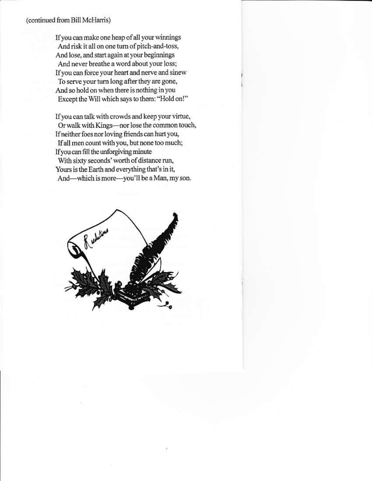#### (continued from Bill McHarris)

If you can make one heap of all your winnings And risk it all on one turn of pitch-and-toss, And lose, and start again at your beginnings And never breathe a word about your loss: If you can force your heart and nerve and sinew To serve your turn long after they are gone, And so hold on when there is nothing in you Except the Will which says to them: "Hold on!"

If you can talk with crowds and keep your virtue, Or walk with Kings-nor lose the common touch, If neither foes nor loving friends can hurt you, If all men count with you, but none too much; If you can fill the unforgiving minute With sixty seconds' worth of distance run. Yours is the Earth and everything that's in it, And—which is more—you'll be a Man, my son.

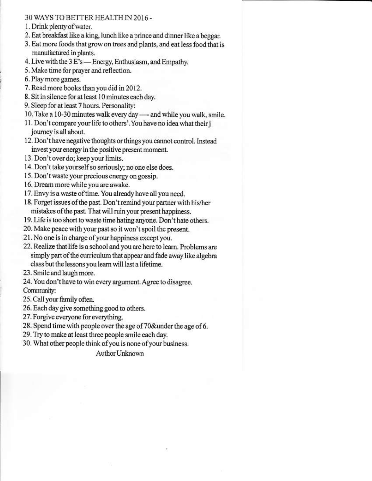#### 30 WAYS TO BETTER HEALTH IN 2016 -

- 1. Drink plenty of water.
- 2. Eat breakfast like a king, lunch like a prince and dinner like a beggar.
- 3. Eat more foods that grow on trees and plants, and eat less food that is manufactured in plants.
- 4. Live with the 3 E's Energy, Enthusiasm, and Empathy.
- 5. Make time for praver and reflection.
- 6. Play more games.
- 7. Read more books than you did in 2012.
- 8. Sit in silence for at least 10 minutes each day.
- 9. Sleep for at least 7 hours. Personality:
- 10. Take a 10-30 minutes walk every day and while you walk, smile.
- 11. Don't compare your life to others'. You have no idea what their i journey is all about.
- 12. Don't have negative thoughts or things you cannot control. Instead invest your energy in the positive present moment.
- 13. Don't over do; keep your limits.
- 14. Don't take yourself so seriously; no one else does.
- 15. Don't waste your precious energy on gossip.
- 16. Dream more while you are awake.
- 17. Envy is a waste of time. You already have all you need.
- 18. Forget issues of the past. Don't remind your partner with his/her mistakes of the past. That will ruin your present happiness.
- 19. Life is too short to waste time hating anyone. Don't hate others.
- 20. Make peace with your past so it won't spoil the present.
- 21. No one is in charge of your happiness except you.
- 22. Realize that life is a school and you are here to learn. Problems are simply part of the curriculum that appear and fade away like algebra class but the lessons you learn will last a lifetime.
- 23. Smile and laugh more.

24. You don't have to win every argument. Agree to disagree. Community:

- 25. Call your family often.
- 26. Each day give something good to others.
- 27. Forgive everyone for everything.
- 28. Spend time with people over the age of 70&under the age of 6.
- 29. Try to make at least three people smile each day.
- 30. What other people think of you is none of your business.

Author Unknown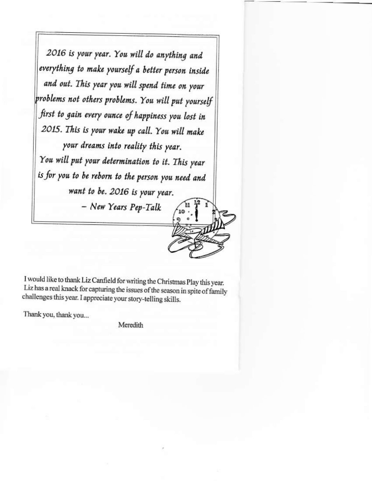2016 is your year. You will do anything and everything to make yourself a better person inside and out. This year you will spend time on your problems not others problems. You will put yourself first to gain every ounce of happiness you lost in 2015. This is your wake up call. You will make your dreams into reality this year. You will put your determination to it. This year is for you to be reborn to the person you need and want to be. 2016 is your year. - New Years Pep-Talk

I would like to thank Liz Canfield for writing the Christmas Play this year. Liz has a real knack for capturing the issues of the season in spite of family challenges this year. I appreciate your story-telling skills.

Thank you, thank you...

Meredith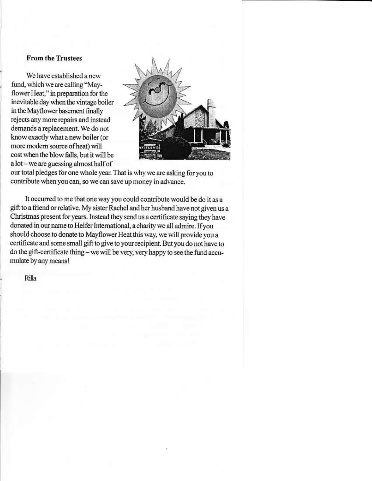#### **From the Trustees**

We have established a new fund, which we are calling "Mayflower Heat," in preparation for the inevitable day when the vintage boiler in the Mayflower basement finally rejects any more repairs and instead demands a replacement. We do not know exactly what a new boiler (or more modern source of heat) will cost when the blow falls, but it will be a lot – we are guessing almost half of



our total pledges for one whole year. That is why we are asking for you to contribute when you can, so we can save up money in advance.

It occurred to me that one way you could contribute would be do it as a gift to a friend or relative. My sister Rachel and her husband have not given us a Christmas present for years. Instead they send us a certificate saying they have donated in our name to Heifer International, a charity we all admire. If you should choose to donate to Mayflower Heat this way, we will provide you a certificate and some small gift to give to your recipient. But you do not have to do the gift-certificate thing - we will be very, very happy to see the fund accumulate by any means!

Rilla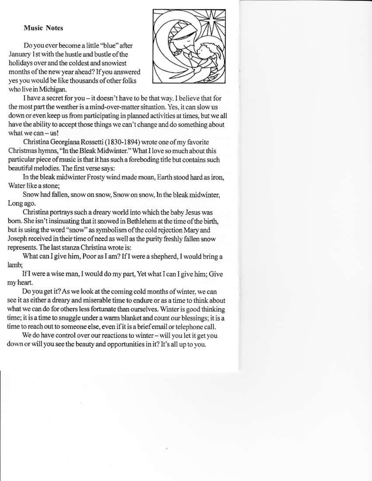#### **Music Notes**

Do you ever become a little "blue" after January 1st with the hustle and bustle of the holidays over and the coldest and snowiest months of the new year ahead? If you answered yes you would be like thousands of other folks who live in Michigan.



I have a secret for you - it doesn't have to be that way. I believe that for the most part the weather is a mind-over-matter situation. Yes, it can slow us down or even keep us from participating in planned activities at times, but we all have the ability to accept those things we can't change and do something about what we  $can - us!$ 

Christina Georgiana Rossetti (1830-1894) wrote one of my favorite Christmas hymns, "In the Bleak Midwinter." What I love so much about this particular piece of music is that it has such a foreboding title but contains such beautiful melodies. The first verse says:

In the bleak midwinter Frosty wind made moan, Earth stood hard as iron. Water like a stone:

Snow had fallen, snow on snow, Snow on snow, In the bleak midwinter, Long ago.

Christina portrays such a dreary world into which the baby Jesus was born. She isn't insinuating that it snowed in Bethlehem at the time of the birth, but is using the word "snow" as symbolism of the cold rejection Mary and Joseph received in their time of need as well as the purity freshly fallen snow represents. The last stanza Christina wrote is:

What can I give him, Poor as I am? If I were a shepherd, I would bring a lamb:

If I were a wise man, I would do my part, Yet what I can I give him; Give my heart.

Do you get it? As we look at the coming cold months of winter, we can see it as either a dreary and miserable time to endure or as a time to think about what we can do for others less fortunate than ourselves. Winter is good thinking time; it is a time to snuggle under a warm blanket and count our blessings; it is a time to reach out to someone else, even if it is a brief email or telephone call.

We do have control over our reactions to winter - will you let it get you down or will you see the beauty and opportunities in it? It's all up to you.